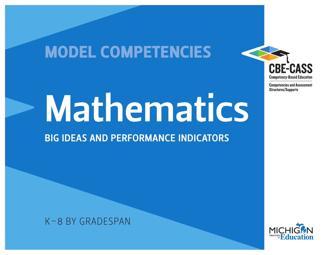## MODEL COMPETENCIES



**Competencies and Assessment Structures/Supports** 

# Mathematics

### BIG IDEAS AND PERFORMANCE INDICATORS

K–8 BY GRADESPAN

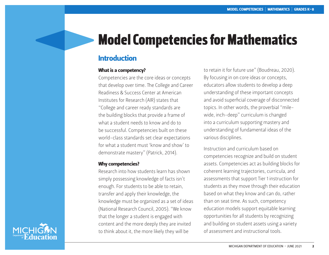## Model Competencies for Mathematics

#### Introduction

#### What is a competency?

Competencies are the core ideas or concepts that develop over time. The College and Career Readiness & Success Center at American Institutes for Research (AIR) states that "College and career ready standards are the building blocks that provide a frame of what a student needs to know and do to be successful. Competencies built on these world-class standards set clear expectations for what a student must 'know and show' to demonstrate mastery" (Patrick, 2014).

#### Why competencies?

Research into how students learn has shown simply possessing knowledge of facts isn't enough. For students to be able to retain, transfer and apply their knowledge, the knowledge must be organized as a set of ideas (National Research Council, 2005). "We know that the longer a student is engaged with content and the more deeply they are invited to think about it, the more likely they will be

to retain it for future use" (Boudreau, 2020). By focusing in on core ideas or concepts, educators allow students to develop a deep understanding of these important concepts and avoid superficial coverage of disconnected topics. In other words, the proverbial "milewide, inch-deep" curriculum is changed into a curriculum supporting mastery and understanding of fundamental ideas of the various disciplines.

Instruction and curriculum based on competencies recognize and build on student assets. Competencies act as building blocks for coherent learning trajectories, curricula, and assessments that support Tier 1 instruction for students as they move through their education based on what they know and can do, rather than on seat time. As such, competency education models support equitable learning opportunities for all students by recognizing and building on student assets using a variety of assessment and instructional tools.

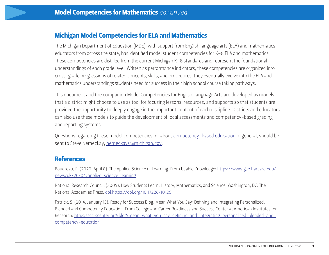#### Michigan Model Competencies for ELA and Mathematics

The Michigan Department of Education (MDE), with support from English language arts (ELA) and mathematics educators from across the state, has identified model student competencies for K–8 ELA and mathematics. These competencies are distilled from the current Michigan K–8 standards and represent the foundational understandings of each grade level. Written as performance indicators, these competencies are organized into cross-grade progressions of related concepts, skills, and procedures; they eventually evolve into the ELA and mathematics understandings students need for success in their high school course taking pathways.

This document and the companion Model Competencies for English Language Arts are developed as models that a district might choose to use as tool for focusing lessons, resources, and supports so that students are provided the opportunity to deeply engage in the important content of each discipline. Districts and educators can also use these models to guide the development of local assessments and competency-based grading and reporting systems.

Questions regarding these model competencies, or about [competency-based education](https://www.michigan.gov/mde/0,4615,7-140-81351-322532--,00.html) in general, should be sent to Steve Nemeckay, [nemeckays@michigan.gov.](mailto:nemeckays%40michigan.gov?subject=)

#### **References**

Boudreau, E. (2020, April 8). The Applied Science of Learning. From Usable Knowledge: [https://www.gse.harvard.edu/](https://www.gse.harvard.edu/news/uk/20/04/applied-science-learning) [news/uk/20/04/applied-science-learning](https://www.gse.harvard.edu/news/uk/20/04/applied-science-learning)

National Research Council. (2005). How Students Learn: History, Mathematics, and Science. Washington, DC: The National Academies Press.<doi:https://doi.org/10.17226/10126>

Patrick, S. (2014, January 13). Ready for Success Blog. Mean What You Say: Defining and Integrating Personalized, Blended and Competency Education. From College and Career Readiness and Success Center at American Institutes for Research: [https://ccrscenter.org/blog/mean-what-you-say-defining-and-integrating-personalized-blended-and](https://ccrscenter.org/blog/mean-what-you-say-defining-and-integrating-personalized-blended-and-competency-education)[competency-education](https://ccrscenter.org/blog/mean-what-you-say-defining-and-integrating-personalized-blended-and-competency-education)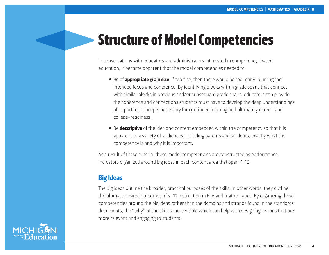## Structure of Model Competencies

In conversations with educators and administrators interested in competency-based education, it became apparent that the model competencies needed to:

- Be of **appropriate grain size**. If too fine, then there would be too many, blurring the intended focus and coherence. By identifying blocks within grade spans that connect with similar blocks in previous and/or subsequent grade spans, educators can provide the coherence and connections students must have to develop the deep understandings of important concepts necessary for continued learning and ultimately career-and college-readiness.
- Be descriptive of the idea and content embedded within the competency so that it is apparent to a variety of audiences, including parents and students, exactly what the competency is and why it is important.

As a result of these criteria, these model competencies are constructed as performance indicators organized around big ideas in each content area that span K-12.

#### Big Ideas

The big ideas outline the broader, practical purposes of the skills; in other words, they outline the ultimate desired outcomes of K-12 instruction in ELA and mathematics. By organizing these competencies around the big ideas rather than the domains and strands found in the standards documents, the "why" of the skill is more visible which can help with designing lessons that are more relevant and engaging to students.

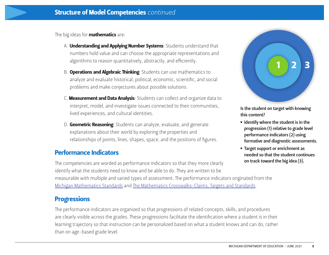The big ideas for **mathematics** are:

- A. **Understanding and Applying Number Systems**: Students understand that numbers hold value and can choose the appropriate representations and algorithms to reason quantitatively, abstractly, and efficiently.
- B. **Operations and Algebraic Thinking:** Students can use mathematics to analyze and evaluate historical, political, economic, scientific, and social problems and make conjectures about possible solutions.
- C. Measurement and Data Analysis: Students can collect and organize data to interpret, model, and investigate issues connected to their communities, lived experiences, and cultural identities.
- D. Geometric Reasoning: Students can analyze, evaluate, and generate explanations about their world by exploring the properties and relationships of points, lines, shapes, space, and the positions of figures.

#### Performance Indicators

The competencies are worded as performance indicators so that they more clearly identify what the students need to know and be able to do. They are written to be measurable with multiple and varied types of assessment. The performance indicators originated from the [Michigan Mathematics Standards](https://www.michigan.gov/documents/mde/K-12_MI_Math_Standards_REV_470033_7_550413_7.pdf) and [The Mathematics Crosswalks: Claims, Targets and Standards.](https://www.michigan.gov/mde/0,4615,7-140-22709_70117-364403--,00.html)

#### **Progressions**

The performance indicators are organized so that progressions of related concepts, skills, and procedures are clearly visible across the grades. These progressions facilitate the identification where a student is in their learning trajectory so that instruction can be personalized based on what a student knows and can do, rather than on age-based grade level.



Is the student on target with knowing this content?

- Identify where the student is in the progression (1) relative to grade level performance indicators (2) using formative and diagnostic assessments.
- Target support or enrichment as needed so that the student continues on track toward the big idea (3).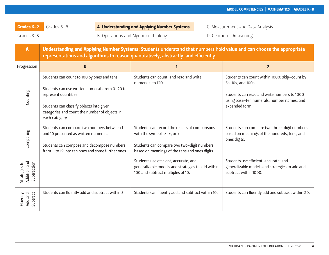Grades 3-5 **B. Operations and Algebraic Thinking** B. Geometric Reasoning by a settle Reasoning

| $\overline{A}$                                | Understanding and Applying Number Systems: Students understand that numbers hold value and can choose the appropriate<br>representations and algorithms to reason quantitatively, abstractly, and efficiently.                        |                                                                                                                                                                                           |                                                                                                                                                                                    |  |  |
|-----------------------------------------------|---------------------------------------------------------------------------------------------------------------------------------------------------------------------------------------------------------------------------------------|-------------------------------------------------------------------------------------------------------------------------------------------------------------------------------------------|------------------------------------------------------------------------------------------------------------------------------------------------------------------------------------|--|--|
| Progression                                   | $\mathsf K$                                                                                                                                                                                                                           |                                                                                                                                                                                           | $\overline{2}$                                                                                                                                                                     |  |  |
| Counting                                      | Students can count to 100 by ones and tens.<br>Students can use written numerals from 0-20 to<br>represent quantities.<br>Students can classify objects into given<br>categories and count the number of objects in<br>each category. | Students can count, and read and write<br>numerals, to 120.                                                                                                                               | Students can count within 1000; skip-count by<br>5s, 10s, and 100s.<br>Students can read and write numbers to 1000<br>using base-ten numerals, number names, and<br>expanded form. |  |  |
| Comparing                                     | Students can compare two numbers between 1<br>and 10 presented as written numerals.<br>Students can compose and decompose numbers<br>from 11 to 19 into ten ones and some further ones.                                               | Students can record the results of comparisons<br>with the symbols $>$ , $=$ , or $\lt$ .<br>Students can compare two two-digit numbers<br>based on meanings of the tens and ones digits. | Students can compare two three-digit numbers<br>based on meanings of the hundreds, tens, and<br>ones digits.                                                                       |  |  |
| Strategies for<br>Addition and<br>Subtraction |                                                                                                                                                                                                                                       | Students use efficient, accurate, and<br>generalizable models and strategies to add within<br>100 and subtract multiples of 10.                                                           | Students use efficient, accurate, and<br>generalizable models and strategies to add and<br>subtract within 1000.                                                                   |  |  |
| Subtract<br>Fluently<br>Add and               | Students can fluently add and subtract within 5.                                                                                                                                                                                      | Students can fluently add and subtract within 10.                                                                                                                                         | Students can fluently add and subtract within 20.                                                                                                                                  |  |  |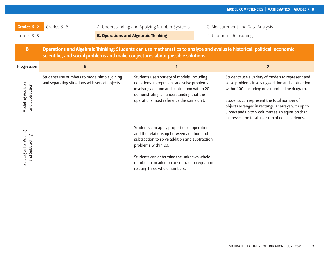| Grades K-2                               | Grades $6-8$                                                                                    | A. Understanding and Applying Number Systems |                                                                                                                                                                                                                                                                                                | C. Measurement and Data Analysis                                                                                                                                                                                                                                                                                                                                 |  |
|------------------------------------------|-------------------------------------------------------------------------------------------------|----------------------------------------------|------------------------------------------------------------------------------------------------------------------------------------------------------------------------------------------------------------------------------------------------------------------------------------------------|------------------------------------------------------------------------------------------------------------------------------------------------------------------------------------------------------------------------------------------------------------------------------------------------------------------------------------------------------------------|--|
| Grades 3-5                               |                                                                                                 |                                              | <b>B. Operations and Algebraic Thinking</b>                                                                                                                                                                                                                                                    | D. Geometric Reasoning                                                                                                                                                                                                                                                                                                                                           |  |
| $\overline{B}$                           |                                                                                                 |                                              | scientific, and social problems and make conjectures about possible solutions.                                                                                                                                                                                                                 | Operations and Algebraic Thinking: Students can use mathematics to analyze and evaluate historical, political, economic,                                                                                                                                                                                                                                         |  |
| Progression                              | K                                                                                               |                                              |                                                                                                                                                                                                                                                                                                | $\overline{2}$                                                                                                                                                                                                                                                                                                                                                   |  |
| Modeling Addition<br>and Subtraction     | Students use numbers to model simple joining<br>and separating situations with sets of objects. |                                              | Students use a variety of models, including<br>equations, to represent and solve problems<br>involving addition and subtraction within 20,<br>demonstrating an understanding that the<br>operations must reference the same unit.                                                              | Students use a variety of models to represent and<br>solve problems involving addition and subtraction<br>within 100, including on a number line diagram.<br>Students can represent the total number of<br>objects arranged in rectangular arrays with up to<br>5 rows and up to 5 columns as an equation that<br>expresses the total as a sum of equal addends. |  |
| Strategies for Adding<br>and Subtracting |                                                                                                 |                                              | Students can apply properties of operations<br>and the relationship between addition and<br>subtraction to solve addition and subtraction<br>problems within 20.<br>Students can determine the unknown whole<br>number in an addition or subtraction equation<br>relating three whole numbers. |                                                                                                                                                                                                                                                                                                                                                                  |  |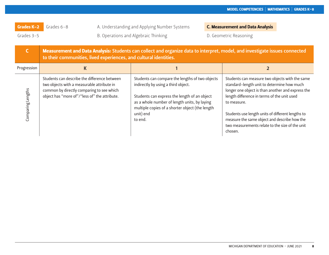Grades K-2 Grades 6-8 A. Understanding and Applying Number Systems C. Measurement and Data Analysis Grades 3-5 **B. Operations and Algebraic Thinking** D. Geometric Reasoning Crades 3-5

| $\mathsf{C}$      | Measurement and Data Analysis: Students can collect and organize data to interpret, model, and investigate issues connected<br>to their communities, lived experiences, and cultural identities. |                                                                                                                                                                                                                                                                   |                                                                                                                                                                                                                                                                                                                                                                                    |  |
|-------------------|--------------------------------------------------------------------------------------------------------------------------------------------------------------------------------------------------|-------------------------------------------------------------------------------------------------------------------------------------------------------------------------------------------------------------------------------------------------------------------|------------------------------------------------------------------------------------------------------------------------------------------------------------------------------------------------------------------------------------------------------------------------------------------------------------------------------------------------------------------------------------|--|
| Progression       | К                                                                                                                                                                                                |                                                                                                                                                                                                                                                                   |                                                                                                                                                                                                                                                                                                                                                                                    |  |
| Comparing Lengths | Students can describe the difference between<br>two objects with a measurable attribute in<br>common by directly comparing to see which<br>object has "more of"/"less of" the attribute.         | Students can compare the lengths of two objects<br>indirectly by using a third object.<br>Students can express the length of an object<br>as a whole number of length units, by laying<br>multiple copies of a shorter object (the length<br>unit) end<br>to end. | Students can measure two objects with the same<br>standard-length unit to determine how much<br>longer one object is than another and express the<br>length difference in terms of the unit used<br>to measure.<br>Students use length units of different lengths to<br>measure the same object and describe how the<br>two measurements relate to the size of the unit<br>chosen. |  |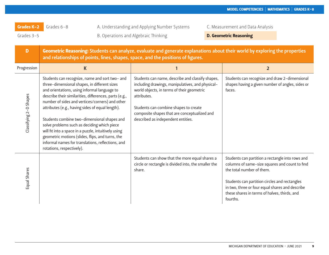Grades 3-5 **B. Operations and Algebraic Thinking Camelia D. Geometric Reasoning** 

| D                      | Geometric Reasoning: Students can analyze, evaluate and generate explanations about their world by exploring the properties<br>and relationships of points, lines, shapes, space, and the positions of figures.                                                                                                                                                                                                                                                                                                                                                                                             |                                                                                                                                                                                                                                                                                                  |                                                                                                                                                                                                                                                                                                 |  |  |
|------------------------|-------------------------------------------------------------------------------------------------------------------------------------------------------------------------------------------------------------------------------------------------------------------------------------------------------------------------------------------------------------------------------------------------------------------------------------------------------------------------------------------------------------------------------------------------------------------------------------------------------------|--------------------------------------------------------------------------------------------------------------------------------------------------------------------------------------------------------------------------------------------------------------------------------------------------|-------------------------------------------------------------------------------------------------------------------------------------------------------------------------------------------------------------------------------------------------------------------------------------------------|--|--|
| Progression            | $\mathsf{K}$                                                                                                                                                                                                                                                                                                                                                                                                                                                                                                                                                                                                |                                                                                                                                                                                                                                                                                                  | $\overline{2}$                                                                                                                                                                                                                                                                                  |  |  |
| Classifying 2-D Shapes | Students can recognize, name and sort two- and<br>three-dimensional shapes, in different sizes<br>and orientations, using informal language to<br>describe their similarities, differences, parts (e.g.,<br>number of sides and vertices/corners) and other<br>attributes (e.g., having sides of equal length).<br>Students combine two-dimensional shapes and<br>solve problems such as deciding which piece<br>will fit into a space in a puzzle, intuitively using<br>geometric motions (slides, flips, and turns, the<br>informal names for translations, reflections, and<br>rotations, respectively). | Students can name, describe and classify shapes,<br>including drawings, manipulatives, and physical-<br>world objects, in terms of their geometric<br>attributes.<br>Students can combine shapes to create<br>composite shapes that are conceptualized and<br>described as independent entities. | Students can recognize and draw 2-dimensional<br>shapes having a given number of angles, sides or<br>faces.                                                                                                                                                                                     |  |  |
| Equal Shares           |                                                                                                                                                                                                                                                                                                                                                                                                                                                                                                                                                                                                             | Students can show that the more equal shares a<br>circle or rectangle is divided into, the smaller the<br>share.                                                                                                                                                                                 | Students can partition a rectangle into rows and<br>columns of same-size squares and count to find<br>the total number of them.<br>Students can partition circles and rectangles<br>in two, three or four equal shares and describe<br>these shares in terms of halves, thirds, and<br>fourths. |  |  |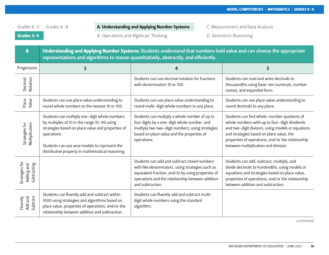Grades 3-5 B. Operations and Algebraic Thinking D. Geometric Reasoning

| A                                           | Understanding and Applying Number Systems: Students understand that numbers hold value and can choose the appropriate<br>representations and algorithms to reason quantitatively, abstractly, and efficiently.                                                        |                                                                                                                                                                                                                               |                                                                                                                                                                                                                                                                                            |  |
|---------------------------------------------|-----------------------------------------------------------------------------------------------------------------------------------------------------------------------------------------------------------------------------------------------------------------------|-------------------------------------------------------------------------------------------------------------------------------------------------------------------------------------------------------------------------------|--------------------------------------------------------------------------------------------------------------------------------------------------------------------------------------------------------------------------------------------------------------------------------------------|--|
| Progression                                 | 3                                                                                                                                                                                                                                                                     | 4                                                                                                                                                                                                                             | 5                                                                                                                                                                                                                                                                                          |  |
| Notation<br>Decimal                         |                                                                                                                                                                                                                                                                       | Students can use decimal notation for fractions<br>with denominators 10 or 100.                                                                                                                                               | Students can read and write decimals to<br>thousandths using base-ten numerals, number<br>names, and expanded form.                                                                                                                                                                        |  |
| Place<br>Value                              | Students can use place value understanding to<br>round whole numbers to the nearest 10 or 100.                                                                                                                                                                        | Students can use place value understanding to<br>round multi-digit whole numbers to any place.                                                                                                                                | Students can use place value understanding to<br>round decimals to any place.                                                                                                                                                                                                              |  |
| Multiplication<br>Strategies for            | Students can multiply one-digit whole numbers<br>by multiples of 10 in the range 10-90 using<br>strategies based on place value and properties of<br>operations.<br>Students can use area models to represent the<br>distributive property in mathematical reasoning. | Students can multiply a whole number of up to<br>four digits by a one-digit whole number, and<br>multiply two two-digit numbers, using strategies<br>based on place value and the properties of<br>operations.                | Students can find whole-number quotients of<br>whole numbers with up to four-digit dividends<br>and two-digit divisors, using models or equations<br>and strategies based on place value, the<br>properties of operations, and/or the relationship<br>between multiplication and division. |  |
| Strategies for<br>Subtracting<br>Adding and |                                                                                                                                                                                                                                                                       | Students can add and subtract mixed numbers<br>with like denominators, using strategies such as<br>equivalent fraction, and/or by using properties of<br>operations and the relationship between addition<br>and subtraction. | Students can add, subtract, multiply, and<br>divide decimals to hundredths, using models or<br>equations and strategies based on place value,<br>properties of operations, and/or the relationship<br>between addition and subtraction.                                                    |  |
| Subtract<br>Add and<br>Fluently             | Students can fluently add and subtract within<br>1000 using strategies and algorithms based on<br>place value, properties of operations, and/or the<br>relationship between addition and subtraction.                                                                 | Students can fluently add and subtract multi-<br>digit whole numbers using the standard<br>algorithm.                                                                                                                         |                                                                                                                                                                                                                                                                                            |  |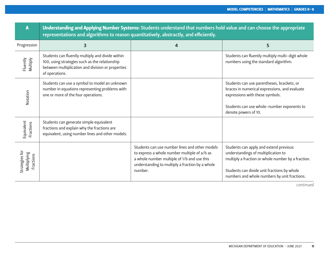| A                                          | Understanding and Applying Number Systems: Students understand that numbers hold value and can choose the appropriate<br>representations and algorithms to reason quantitatively, abstractly, and efficiently. |                                                                                                                                                                                                             |                                                                                                                                                                                                                                    |  |  |
|--------------------------------------------|----------------------------------------------------------------------------------------------------------------------------------------------------------------------------------------------------------------|-------------------------------------------------------------------------------------------------------------------------------------------------------------------------------------------------------------|------------------------------------------------------------------------------------------------------------------------------------------------------------------------------------------------------------------------------------|--|--|
| Progression                                | 3                                                                                                                                                                                                              | 4                                                                                                                                                                                                           | 5                                                                                                                                                                                                                                  |  |  |
| Fluently<br>Multiply                       | Students can fluently multiply and divide within<br>100, using strategies such as the relationship<br>between multiplication and division or properties<br>of operations.                                      |                                                                                                                                                                                                             | Students can fluently multiply multi-digit whole<br>numbers using the standard algorithm.                                                                                                                                          |  |  |
| Notation                                   | Students can use a symbol to model an unknown<br>number in equations representing problems with<br>one or more of the four operations.                                                                         |                                                                                                                                                                                                             | Students can use parentheses, brackets, or<br>braces in numerical expressions, and evaluate<br>expressions with these symbols.<br>Students can use whole-number exponents to<br>denote powers of 10.                               |  |  |
| Equivalent<br>Fractions                    | Students can generate simple equivalent<br>fractions and explain why the fractions are<br>equivalent, using number lines and other models.                                                                     |                                                                                                                                                                                                             |                                                                                                                                                                                                                                    |  |  |
| Strategies for<br>Multiplying<br>Fractions |                                                                                                                                                                                                                | Students can use number lines and other models<br>to express a whole number multiple of a/b as<br>a whole number multiple of 1/b and use this<br>understanding to multiply a fraction by a whole<br>number. | Students can apply and extend previous<br>understandings of multiplication to<br>multiply a fraction or whole number by a fraction.<br>Students can divide unit fractions by whole<br>numbers and whole numbers by unit fractions. |  |  |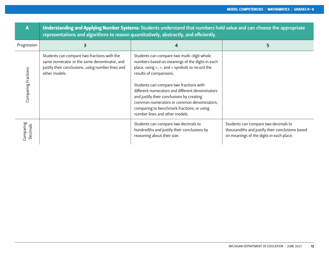|                       | Understanding and Applying Number Systems: Students understand that numbers hold value and can choose the appropriate<br>representations and algorithms to reason quantitatively, abstractly, and efficiently. |                                                                                                                                                                                                                                                                                                                                                                                                                                                       |                                                                                                                                     |  |  |
|-----------------------|----------------------------------------------------------------------------------------------------------------------------------------------------------------------------------------------------------------|-------------------------------------------------------------------------------------------------------------------------------------------------------------------------------------------------------------------------------------------------------------------------------------------------------------------------------------------------------------------------------------------------------------------------------------------------------|-------------------------------------------------------------------------------------------------------------------------------------|--|--|
| Progression           | 3                                                                                                                                                                                                              | 4                                                                                                                                                                                                                                                                                                                                                                                                                                                     | 5                                                                                                                                   |  |  |
| Comparing Fractions   | Students can compare two fractions with the<br>same numerator or the same denominator, and<br>justify their conclusions, using number lines and<br>other models.                                               | Students can compare two multi-digit whole<br>numbers based on meanings of the digits in each<br>place, using $>$ , =, and < symbols to record the<br>results of comparisons.<br>Students can compare two fractions with<br>different numerators and different denominators<br>and justify their conclusions by creating<br>common numerators or common denominators;<br>comparing to benchmark fractions; or using<br>number lines and other models. |                                                                                                                                     |  |  |
| Comparing<br>Decimals |                                                                                                                                                                                                                | Students can compare two decimals to<br>hundredths and justify their conclusions by<br>reasoning about their size.                                                                                                                                                                                                                                                                                                                                    | Students can compare two decimals to<br>thousandths and justify their conclusions based<br>on meanings of the digits in each place. |  |  |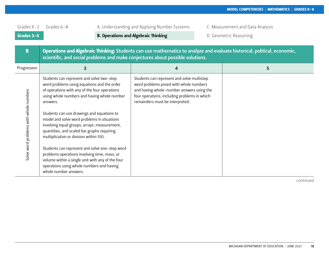| Grades K-2<br>Grades 3-5<br>B          | Grades $6 - 8$                                                                                                                                                                                                                                                                                                                                                                                                                                                                                                                                                                                                                                                         | A. Understanding and Applying Number Systems<br><b>B. Operations and Algebraic Thinking</b><br>scientific, and social problems and make conjectures about possible solutions.                                        | C. Measurement and Data Analysis<br>D. Geometric Reasoning<br>Operations and Algebraic Thinking: Students can use mathematics to analyze and evaluate historical, political, economic, |
|----------------------------------------|------------------------------------------------------------------------------------------------------------------------------------------------------------------------------------------------------------------------------------------------------------------------------------------------------------------------------------------------------------------------------------------------------------------------------------------------------------------------------------------------------------------------------------------------------------------------------------------------------------------------------------------------------------------------|----------------------------------------------------------------------------------------------------------------------------------------------------------------------------------------------------------------------|----------------------------------------------------------------------------------------------------------------------------------------------------------------------------------------|
| Progression                            | 3                                                                                                                                                                                                                                                                                                                                                                                                                                                                                                                                                                                                                                                                      | 4                                                                                                                                                                                                                    | 5                                                                                                                                                                                      |
| Solve word problems with whole numbers | Students can represent and solve two-step<br>word problems using equations and the order<br>of operations with any of the four operations<br>using whole numbers and having whole number<br>answers.<br>Students can use drawings and equations to<br>model and solve word problems in situations<br>involving equal groups, arrays, measurement,<br>quantities, and scaled bar graphs requiring<br>multiplication or division within 100.<br>Students can represent and solve one-step word<br>problems operations involving time, mass, or<br>volume within a single unit with any of the four<br>operations using whole numbers and having<br>whole number answers. | Students can represent and solve multistep<br>word problems posed with whole numbers<br>and having whole-number answers using the<br>four operations, including problems in which<br>remainders must be interpreted. |                                                                                                                                                                                        |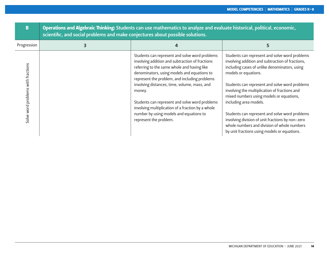| B                                  | Operations and Algebraic Thinking: Students can use mathematics to analyze and evaluate historical, political, economic,<br>scientific, and social problems and make conjectures about possible solutions. |                                                                                                                                                                                                                                                                                                                                                                                                                                                                                        |                                                                                                                                                                                                                                                                                                                                                                                                                                                                                                                                                           |  |  |
|------------------------------------|------------------------------------------------------------------------------------------------------------------------------------------------------------------------------------------------------------|----------------------------------------------------------------------------------------------------------------------------------------------------------------------------------------------------------------------------------------------------------------------------------------------------------------------------------------------------------------------------------------------------------------------------------------------------------------------------------------|-----------------------------------------------------------------------------------------------------------------------------------------------------------------------------------------------------------------------------------------------------------------------------------------------------------------------------------------------------------------------------------------------------------------------------------------------------------------------------------------------------------------------------------------------------------|--|--|
| Progression                        | 3                                                                                                                                                                                                          | 4                                                                                                                                                                                                                                                                                                                                                                                                                                                                                      |                                                                                                                                                                                                                                                                                                                                                                                                                                                                                                                                                           |  |  |
| Solve word problems with fractions |                                                                                                                                                                                                            | Students can represent and solve word problems<br>involving addition and subtraction of fractions<br>referring to the same whole and having like<br>denominators, using models and equations to<br>represent the problem, and including problems<br>involving distances, time, volume, mass, and<br>money.<br>Students can represent and solve word problems<br>involving multiplication of a fraction by a whole<br>number by using models and equations to<br>represent the problem. | Students can represent and solve word problems<br>involving addition and subtraction of fractions,<br>including cases of unlike denominators, using<br>models or equations.<br>Students can represent and solve word problems<br>involving the multiplication of fractions and<br>mixed numbers using models or equations,<br>including area models.<br>Students can represent and solve word problems<br>involving division of unit fractions by non-zero<br>whole numbers and division of whole numbers<br>by unit fractions using models or equations. |  |  |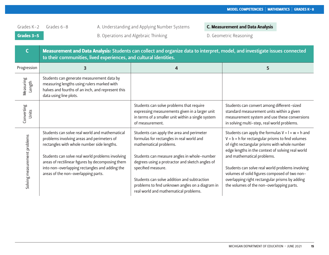Grades 3-5 B. Operations and Algebraic Thinking D. Geometric Reasoning

|                              | Measurement and Data Analysis: Students can collect and organize data to interpret, model, and investigate issues connected<br>to their communities, lived experiences, and cultural identities.                                                                                                                                            |                                                                                                                                                                                                                                                                                                                                                                                     |                                                                                                                                                                                                                                                                                                                                                                                                                                                                  |  |  |
|------------------------------|---------------------------------------------------------------------------------------------------------------------------------------------------------------------------------------------------------------------------------------------------------------------------------------------------------------------------------------------|-------------------------------------------------------------------------------------------------------------------------------------------------------------------------------------------------------------------------------------------------------------------------------------------------------------------------------------------------------------------------------------|------------------------------------------------------------------------------------------------------------------------------------------------------------------------------------------------------------------------------------------------------------------------------------------------------------------------------------------------------------------------------------------------------------------------------------------------------------------|--|--|
| Progression                  | 3                                                                                                                                                                                                                                                                                                                                           | 4                                                                                                                                                                                                                                                                                                                                                                                   | 5                                                                                                                                                                                                                                                                                                                                                                                                                                                                |  |  |
| Measuring<br>Length          | Students can generate measurement data by<br>measuring lengths using rulers marked with<br>halves and fourths of an inch, and represent this<br>data using line plots.                                                                                                                                                                      |                                                                                                                                                                                                                                                                                                                                                                                     |                                                                                                                                                                                                                                                                                                                                                                                                                                                                  |  |  |
| Converting<br>Units          |                                                                                                                                                                                                                                                                                                                                             | Students can solve problems that require<br>expressing measurements given in a larger unit<br>in terms of a smaller unit within a single system<br>of measurement.                                                                                                                                                                                                                  | Students can convert among different-sized<br>standard measurement units within a given<br>measurement system and use these conversions<br>in solving multi-step, real world problems.                                                                                                                                                                                                                                                                           |  |  |
| Solving measurement problems | Students can solve real world and mathematical<br>problems involving areas and perimeters of<br>rectangles with whole number side lengths.<br>Students can solve real world problems involving<br>areas of rectilinear figures by decomposing them<br>into non-overlapping rectangles and adding the<br>areas of the non-overlapping parts. | Students can apply the area and perimeter<br>formulas for rectangles in real world and<br>mathematical problems.<br>Students can measure angles in whole-number<br>degrees using a protractor and sketch angles of<br>specified measure.<br>Students can solve addition and subtraction<br>problems to find unknown angles on a diagram in<br>real world and mathematical problems. | Students can apply the formulas $V = I \times w \times h$ and<br>$V = b \times h$ for rectangular prisms to find volumes<br>of right rectangular prisms with whole number<br>edge lengths in the context of solving real world<br>and mathematical problems.<br>Students can solve real world problems involving<br>volumes of solid figures composed of two non-<br>overlapping right rectangular prisms by adding<br>the volumes of the non-overlapping parts. |  |  |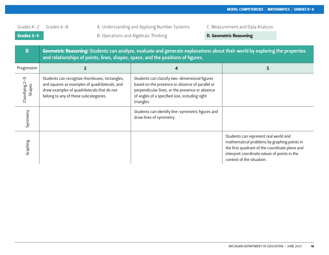| Grades K-2                | Grades $6-8$                                                                         |                                                                                                 | A. Understanding and Applying Number Systems                                                                                                                                                                        | C. Measurement and Data Analysis                                                                                                                                                                                    |
|---------------------------|--------------------------------------------------------------------------------------|-------------------------------------------------------------------------------------------------|---------------------------------------------------------------------------------------------------------------------------------------------------------------------------------------------------------------------|---------------------------------------------------------------------------------------------------------------------------------------------------------------------------------------------------------------------|
| Grades 3-5                |                                                                                      |                                                                                                 | B. Operations and Algebraic Thinking                                                                                                                                                                                | <b>D. Geometric Reasoning</b>                                                                                                                                                                                       |
| D                         |                                                                                      |                                                                                                 | and relationships of points, lines, shapes, space, and the positions of figures.                                                                                                                                    | Geometric Reasoning: Students can analyze, evaluate and generate explanations about their world by exploring the properties                                                                                         |
| Progression               |                                                                                      | 3                                                                                               | 4                                                                                                                                                                                                                   | 5                                                                                                                                                                                                                   |
| Classifying 2-D<br>Shapes | draw examples of quadrilaterals that do not<br>belong to any of these subcategories. | Students can recognize rhombuses, rectangles,<br>and squares as examples of quadrilaterals, and | Students can classify two-dimensional figures<br>based on the presence or absence of parallel or<br>perpendicular lines, or the presence or absence<br>of angles of a specified size, including right<br>triangles. |                                                                                                                                                                                                                     |
| Symmetry                  |                                                                                      |                                                                                                 | Students can identify line-symmetric figures and<br>draw lines of symmetry.                                                                                                                                         |                                                                                                                                                                                                                     |
| Graphing                  |                                                                                      |                                                                                                 |                                                                                                                                                                                                                     | Students can represent real world and<br>mathematical problems by graphing points in<br>the first quadrant of the coordinate plane and<br>interpret coordinate values of points in the<br>context of the situation. |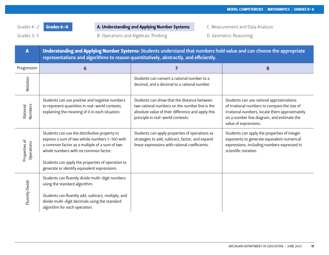Grades K-2 Grades 6-8 **A. Understanding and Applying Number Systems** 

Grades 3-5 **B. Operations and Algebraic Thinking B. Geometric Reasoning D. Geometric Reasoning** 

| C. Measurement and Data Analysis |  |  |  |  |  |  |
|----------------------------------|--|--|--|--|--|--|
|----------------------------------|--|--|--|--|--|--|

| A                           | Understanding and Applying Number Systems: Students understand that numbers hold value and can choose the appropriate<br>representations and algorithms to reason quantitatively, abstractly, and efficiently.                                                                               |                                                                                                                                                                                         |                                                                                                                                                                                                                  |
|-----------------------------|----------------------------------------------------------------------------------------------------------------------------------------------------------------------------------------------------------------------------------------------------------------------------------------------|-----------------------------------------------------------------------------------------------------------------------------------------------------------------------------------------|------------------------------------------------------------------------------------------------------------------------------------------------------------------------------------------------------------------|
| Progression                 | 6                                                                                                                                                                                                                                                                                            | $\overline{7}$                                                                                                                                                                          | 8                                                                                                                                                                                                                |
| Notation                    |                                                                                                                                                                                                                                                                                              | Students can convert a rational number to a<br>decimal, and a decimal to a rational number.                                                                                             |                                                                                                                                                                                                                  |
| Numbers<br>Rational         | Students can use positive and negative numbers<br>to represent quantities in real-world contexts,<br>explaining the meaning of 0 in each situation.                                                                                                                                          | Students can show that the distance between<br>two rational numbers on the number line is the<br>absolute value of their difference and apply this<br>principle in real-world contexts. | Students can use rational approximations<br>of irrational numbers to compare the size of<br>irrational numbers, locate them approximately<br>on a number line diagram, and estimate the<br>value of expressions. |
| Properties of<br>Operations | Students can use the distributive property to<br>express a sum of two whole numbers 1-100 with<br>a common factor as a multiple of a sum of two<br>whole numbers with no common factor.<br>Students can apply the properties of operation to<br>generate or identify equivalent expressions. | Students can apply properties of operations as<br>strategies to add, subtract, factor, and expand<br>linear expressions with rational coefficients.                                     | Students can apply the properties of integer<br>exponents to generate equivalent numerical<br>expressions, including numbers expressed in<br>scientific notation.                                                |
| Fluently Divide             | Students can fluently divide multi-digit numbers<br>using the standard algorithm.<br>Students can fluently add, subtract, multiply, and<br>divide multi-digit decimals using the standard<br>algorithm for each operation.                                                                   |                                                                                                                                                                                         |                                                                                                                                                                                                                  |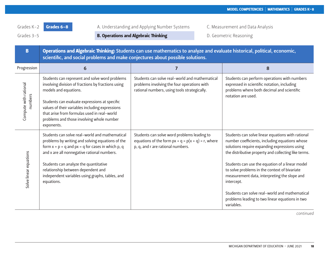Grades 3-5 **B. Operations and Algebraic Thinking** D. Geometric Reasoning

| B                                | Operations and Algebraic Thinking: Students can use mathematics to analyze and evaluate historical, political, economic,<br>scientific, and social problems and make conjectures about possible solutions.                                                                                                                                                 |                                                                                                                                               |                                                                                                                                                                                                                                                                                                                                                                                                                                                                                                   |  |
|----------------------------------|------------------------------------------------------------------------------------------------------------------------------------------------------------------------------------------------------------------------------------------------------------------------------------------------------------------------------------------------------------|-----------------------------------------------------------------------------------------------------------------------------------------------|---------------------------------------------------------------------------------------------------------------------------------------------------------------------------------------------------------------------------------------------------------------------------------------------------------------------------------------------------------------------------------------------------------------------------------------------------------------------------------------------------|--|
| Progression                      | 6                                                                                                                                                                                                                                                                                                                                                          | $\overline{7}$                                                                                                                                | 8                                                                                                                                                                                                                                                                                                                                                                                                                                                                                                 |  |
| Compute with rational<br>numbers | Students can represent and solve word problems<br>involving division of fractions by fractions using<br>models and equations.<br>Students can evaluate expressions at specific<br>values of their variables including expressions<br>that arise from formulas used in real-world<br>problems and those involving whole number<br>exponents.                | Students can solve real-world and mathematical<br>problems involving the four operations with<br>rational numbers, using tools strategically. | Students can perform operations with numbers<br>expressed in scientific notation, including<br>problems where both decimal and scientific<br>notation are used.                                                                                                                                                                                                                                                                                                                                   |  |
| Solve linear equations           | Students can solve real-world and mathematical<br>problems by writing and solving equations of the<br>form $x + p = q$ and $px = q$ for cases in which p, q<br>and x are all nonnegative rational numbers.<br>Students can analyze the quantitative<br>relationship between dependent and<br>independent variables using graphs, tables, and<br>equations. | Students can solve word problems leading to<br>equations of the form $px + q = p(x + q) = r$ , where<br>p, q, and r are rational numbers.     | Students can solve linear equations with rational<br>number coefficients, including equations whose<br>solutions require expanding expressions using<br>the distributive property and collecting like terms.<br>Students can use the equation of a linear model<br>to solve problems in the context of bivariate<br>measurement data, interpreting the slope and<br>intercept.<br>Students can solve real-world and mathematical<br>problems leading to two linear equations in two<br>variables. |  |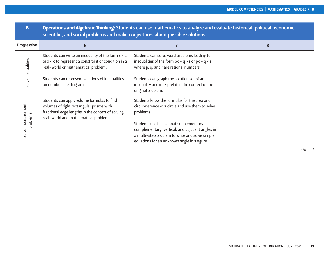| B                             | Operations and Algebraic Thinking: Students can use mathematics to analyze and evaluate historical, political, economic,<br>scientific, and social problems and make conjectures about possible solutions.                          |                                                                                                                                                                                                                                                                                                            |   |  |
|-------------------------------|-------------------------------------------------------------------------------------------------------------------------------------------------------------------------------------------------------------------------------------|------------------------------------------------------------------------------------------------------------------------------------------------------------------------------------------------------------------------------------------------------------------------------------------------------------|---|--|
| Progression                   | 6                                                                                                                                                                                                                                   |                                                                                                                                                                                                                                                                                                            | 8 |  |
| Solve inequalities            | Students can write an inequality of the form $x > c$<br>or x < c to represent a constraint or condition in a<br>real-world or mathematical problem.<br>Students can represent solutions of inequalities<br>on number line diagrams. | Students can solve word problems leading to<br>inequalities of the form $px + q > r$ or $px + q < r$ ,<br>where p, q, and r are rational numbers.<br>Students can graph the solution set of an<br>inequality and interpret it in the context of the<br>original problem.                                   |   |  |
| Solve measurement<br>problems | Students can apply volume formulas to find<br>volumes of right rectangular prisms with<br>fractional edge lengths in the context of solving<br>real-world and mathematical problems.                                                | Students know the formulas for the area and<br>circumference of a circle and use them to solve<br>problems.<br>Students use facts about supplementary,<br>complementary, vertical, and adjacent angles in<br>a multi-step problem to write and solve simple<br>equations for an unknown angle in a figure. |   |  |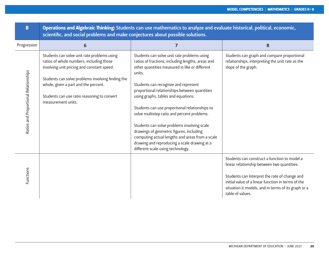| B                                     | Operations and Algebraic Thinking: Students can use mathematics to analyze and evaluate historical, political, economic,<br>scientific, and social problems and make conjectures about possible solutions.                                                                        |                                                                                                                                                                                                                                                                                                                                  |                                                                                                                                                                                                                                                                               |  |
|---------------------------------------|-----------------------------------------------------------------------------------------------------------------------------------------------------------------------------------------------------------------------------------------------------------------------------------|----------------------------------------------------------------------------------------------------------------------------------------------------------------------------------------------------------------------------------------------------------------------------------------------------------------------------------|-------------------------------------------------------------------------------------------------------------------------------------------------------------------------------------------------------------------------------------------------------------------------------|--|
| Progression                           | 6                                                                                                                                                                                                                                                                                 | $\overline{ }$                                                                                                                                                                                                                                                                                                                   | 8                                                                                                                                                                                                                                                                             |  |
| Ratios and Proportional Relationships | Students can solve unit rate problems using<br>ratios of whole numbers, including those<br>involving unit pricing and constant speed.<br>Students can solve problems involving finding the<br>whole, given a part and the percent.<br>Students can use ratio reasoning to convert | Students can solve unit rate problems using<br>ratios of fractions, including lengths, areas and<br>other quantities measured in like or different<br>units.<br>Students can recognize and represent<br>proportional relationships between quantities<br>using graphs, tables and equations.                                     | Students can graph and compare proportional<br>relationships, interpreting the unit rate as the<br>slope of the graph.                                                                                                                                                        |  |
|                                       | measurement units.                                                                                                                                                                                                                                                                | Students can use proportional relationships to<br>solve multistep ratio and percent problems.<br>Students can solve problems involving scale<br>drawings of geometric figures, including<br>computing actual lengths and areas from a scale<br>drawing and reproducing a scale drawing at a<br>different scale using technology. |                                                                                                                                                                                                                                                                               |  |
| Functions                             |                                                                                                                                                                                                                                                                                   |                                                                                                                                                                                                                                                                                                                                  | Students can construct a function to model a<br>linear relationship between two quantities.<br>Students can Interpret the rate of change and<br>initial value of a linear function in terms of the<br>situation it models, and in terms of its graph or a<br>table of values. |  |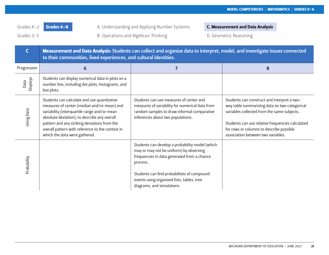Grades 3-5 **B. Operations and Algebraic Thinking** D. Geometric Reasoning Crades 3-5

|                         | Measurement and Data Analysis: Students can collect and organize data to interpret, model, and investigate issues connected<br>to their communities, lived experiences, and cultural identities.                                                                                                                                |                                                                                                                                                                                                                                                                                  |                                                                                                                                                                                                                                                                                   |  |
|-------------------------|---------------------------------------------------------------------------------------------------------------------------------------------------------------------------------------------------------------------------------------------------------------------------------------------------------------------------------|----------------------------------------------------------------------------------------------------------------------------------------------------------------------------------------------------------------------------------------------------------------------------------|-----------------------------------------------------------------------------------------------------------------------------------------------------------------------------------------------------------------------------------------------------------------------------------|--|
| Progression             | 6                                                                                                                                                                                                                                                                                                                               | 7                                                                                                                                                                                                                                                                                | 8                                                                                                                                                                                                                                                                                 |  |
| <b>Displays</b><br>Data | Students can display numerical data in plots on a<br>number line, including dot plots, histograms, and<br>box plots.                                                                                                                                                                                                            |                                                                                                                                                                                                                                                                                  |                                                                                                                                                                                                                                                                                   |  |
| <b>Jsing Data</b>       | Students can calculate and use quantitative<br>measures of center (median and/or mean) and<br>variability (interquartile range and/or mean<br>absolute deviation), to describe any overall<br>pattern and any striking deviations from the<br>overall pattern with reference to the context in<br>which the data were gathered. | Students can use measures of center and<br>measures of variability for numerical data from<br>random samples to draw informal comparative<br>inferences about two populations.                                                                                                   | Students can construct and interpret a two-<br>way table summarizing data on two categorical<br>variables collected from the same subjects.<br>Students can use relative frequencies calculated<br>for rows or columns to describe possible<br>association between two variables. |  |
| Probability             |                                                                                                                                                                                                                                                                                                                                 | Students can develop a probability model (which<br>may or may not be uniform) by observing<br>frequencies in data generated from a chance<br>process.<br>Students can find probabilities of compound<br>events using organized lists, tables, tree<br>diagrams, and simulations. |                                                                                                                                                                                                                                                                                   |  |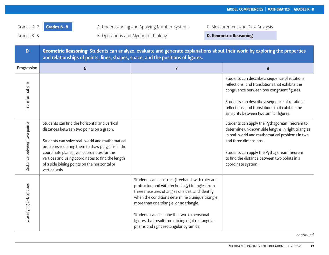Grades 3-5 **B. Operations and Algebraic Thinking Canadian Computer Chassing** 

| D                           | Geometric Reasoning: Students can analyze, evaluate and generate explanations about their world by exploring the properties<br>and relationships of points, lines, shapes, space, and the positions of figures.                                                                                                                                                      |                                                                                                                                                                                                                                                                                                                                                                                                    |                                                                                                                                                                                                                                                                                                   |  |
|-----------------------------|----------------------------------------------------------------------------------------------------------------------------------------------------------------------------------------------------------------------------------------------------------------------------------------------------------------------------------------------------------------------|----------------------------------------------------------------------------------------------------------------------------------------------------------------------------------------------------------------------------------------------------------------------------------------------------------------------------------------------------------------------------------------------------|---------------------------------------------------------------------------------------------------------------------------------------------------------------------------------------------------------------------------------------------------------------------------------------------------|--|
| Progression                 | 6                                                                                                                                                                                                                                                                                                                                                                    | $\overline{7}$                                                                                                                                                                                                                                                                                                                                                                                     | 8                                                                                                                                                                                                                                                                                                 |  |
| Transformations             |                                                                                                                                                                                                                                                                                                                                                                      |                                                                                                                                                                                                                                                                                                                                                                                                    | Students can describe a sequence of rotations,<br>reflections, and translations that exhibits the<br>congruence between two congruent figures.<br>Students can describe a sequence of rotations,<br>reflections, and translations that exhibits the<br>similarity between two similar figures.    |  |
| Distance between two points | Students can find the horizontal and vertical<br>distances between two points on a graph.<br>Students can solve real-world and mathematical<br>problems requiring them to draw polygons in the<br>coordinate plane given coordinates for the<br>vertices and using coordinates to find the length<br>of a side joining points on the horizontal or<br>vertical axis. |                                                                                                                                                                                                                                                                                                                                                                                                    | Students can apply the Pythagorean Theorem to<br>determine unknown side lengths in right triangles<br>in real-world and mathematical problems in two<br>and three dimensions.<br>Students can apply the Pythagorean Theorem<br>to find the distance between two points in a<br>coordinate system. |  |
| Classifying 2-D Shapes      |                                                                                                                                                                                                                                                                                                                                                                      | Students can construct (freehand, with ruler and<br>protractor, and with technology) triangles from<br>three measures of angles or sides, and identify<br>when the conditions determine a unique triangle,<br>more than one triangle, or no triangle.<br>Students can describe the two-dimensional<br>figures that result from slicing right rectangular<br>prisms and right rectangular pyramids. |                                                                                                                                                                                                                                                                                                   |  |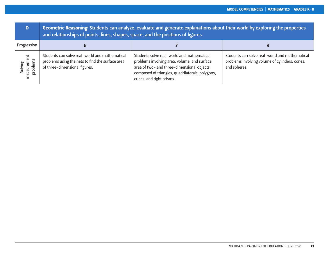| D                                  | Geometric Reasoning: Students can analyze, evaluate and generate explanations about their world by exploring the properties<br>and relationships of points, lines, shapes, space, and the positions of figures. |                                                                                                                                                                                                                          |                                                                                                                  |
|------------------------------------|-----------------------------------------------------------------------------------------------------------------------------------------------------------------------------------------------------------------|--------------------------------------------------------------------------------------------------------------------------------------------------------------------------------------------------------------------------|------------------------------------------------------------------------------------------------------------------|
| Progression                        |                                                                                                                                                                                                                 |                                                                                                                                                                                                                          |                                                                                                                  |
| Solving<br>measurement<br>problems | Students can solve real-world and mathematical<br>problems using the nets to find the surface area<br>of three-dimensional figures.                                                                             | Students solve real-world and mathematical<br>problems involving area, volume, and surface<br>area of two- and three-dimensional objects<br>composed of triangles, quadrilaterals, polygons,<br>cubes, and right prisms. | Students can solve real-world and mathematical<br>problems involving volume of cylinders, cones,<br>and spheres. |